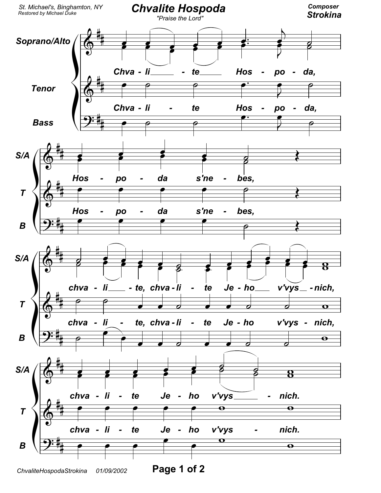